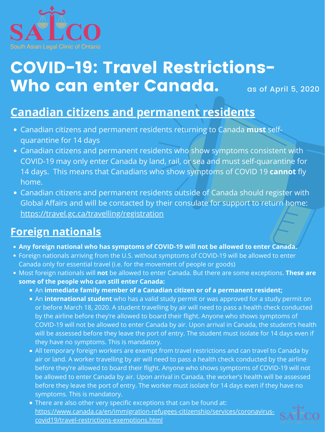

## COVID-19: Travel Restrictions-Who can enter Canada. as of April 5, 2020

## **Canadian citizens and permanent residents**

- Canadian citizens and permanent residents returning to Canada **must** selfquarantine for 14 days
- Canadian citizens and permanent residents who show symptoms consistent with COVID-19 may only enter Canada by land, rail, or sea and must self-quarantine for 14 days. This means that Canadians who show symptoms of COVID 19 **cannot** fly home.
- Canadian citizens and permanent residents outside of Canada should register with Global Affairs and will be contacted by their consulate for support to return home: <https://travel.gc.ca/travelling/registration>

## **Foreign nationals**

- **Any foreign national who has symptoms of COVID-19 will not be allowed to enter Canada.**
- Foreign nationals arriving from the U.S. without symptoms of COVID-19 will be allowed to enter Canada only for essential travel (i.e. for the movement of people or goods)
- Most foreign nationals will **not** be allowed to enter Canada. But there are some exceptions. **These are some of the people who can still enter Canada:**
	- An **immediate family member of a Canadian citizen or of a permanent resident;**
	- An **international student** who has a valid study permit or was approved for a study permit on or before March 18, 2020. A student travelling by air will need to pass a health check conducted by the airline before they're allowed to board their flight. Anyone who shows symptoms of COVID-19 will not be allowed to enter Canada by air. Upon arrival in Canada, the student's health will be assessed before they leave the port of entry. The student must isolate for 14 days even if they have no symptoms. This is mandatory.
	- All temporary foreign workers are exempt from travel restrictions and can travel to Canada by air or land. A worker travelling by air will need to pass a health check conducted by the airline before they're allowed to board their flight. Anyone who shows symptoms of COVID-19 will not be allowed to enter Canada by air. Upon arrival in Canada, the worker's health will be assessed before they leave the port of entry. The worker must isolate for 14 days even if they have no symptoms. This is mandatory.
	- There are also other very specific exceptions that can be found at: [https://www.canada.ca/en/immigration-refugees-citizenship/services/coronavirus](https://www.canada.ca/en/immigration-refugees-citizenship/services/coronavirus-covid19/travel-restrictions-exemptions.html)covid19/travel-restrictions-exemptions.html

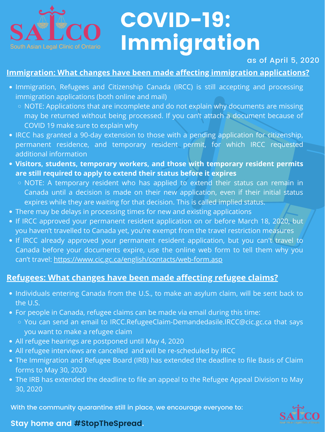

# COVID-19: Immigration

With the community quarantine still in place, we encourage everyone to:

#### **Stay home and #StopTheSpread.**



#### as of April 5, 2020

#### **Immigration: What changes have been made affecting immigration applications?**

- Immigration, Refugees and Citizenship Canada (IRCC) is still accepting and processing immigration applications (both online and mail)
	- NOTE: Applications that are incomplete and do not explain why documents are missing may be returned without being processed. If you can't attach a document because of COVID 19 make sure to explain why
- IRCC has granted a 90-day extension to those with a pending application for citizenship, permanent residence, and temporary resident permit, for which IRCC requested additional information
- **Visitors, students, temporary workers, and those with temporary resident permits are still required to apply to extend their status before it expires**
	- NOTE: A temporary resident who has applied to extend their status can remain in Canada until a decision is made on their new application, even if their initial status expires while they are waiting for that decision. This is called implied status.
- There may be delays in processing times for new and existing applications
- If IRCC approved your permanent resident application on or before March 18, 2020, but you haven't travelled to Canada yet, you're exempt from the travel restriction measures • If IRCC already approved your permanent resident application, but you can't travel to Canada before your documents expire, use the online web form to tell them why you can't travel:<https://www.cic.gc.ca/english/contacts/web-form.asp>

- Individuals entering Canada from the U.S., to make an asylum claim, will be sent back to the U.S.
- For people in Canada, refugee claims can be made via email during this time:
	- You can send an email to IRCC.RefugeeClaim-Demandedasile.IRCC@cic.gc.ca that says you want to make a refugee claim
- All refugee hearings are postponed until May 4, 2020
- All refugee interviews are cancelled and will be re-scheduled by IRCC
- The Immigration and Refugee Board (IRB) has extended the deadline to file Basis of Claim forms to May 30, 2020
- The IRB has extended the deadline to file an appeal to the Refugee Appeal Division to May 30, 2020

#### **Refugees: What changes have been made affecting refugee claims?**